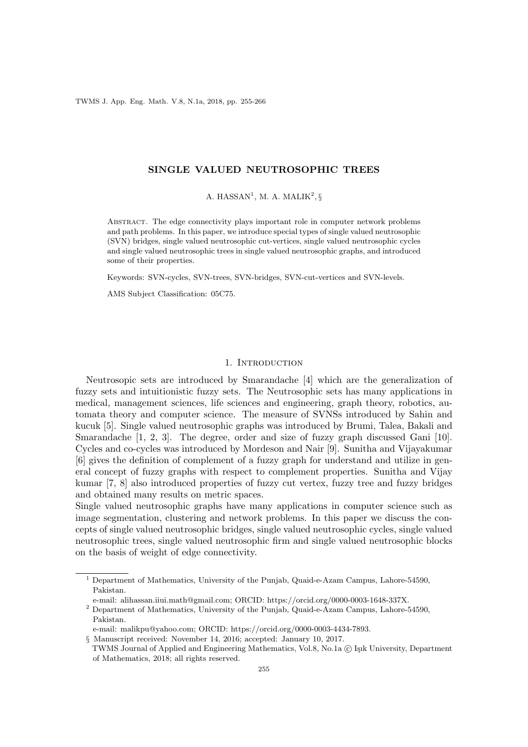TWMS J. App. Eng. Math. V.8, N.1a, 2018, pp. 255-266

## SINGLE VALUED NEUTROSOPHIC TREES

A. HASSAN<sup>1</sup>, M. A. MALIK<sup>2</sup>, §

Abstract. The edge connectivity plays important role in computer network problems and path problems. In this paper, we introduce special types of single valued neutrosophic (SVN) bridges, single valued neutrosophic cut-vertices, single valued neutrosophic cycles and single valued neutrosophic trees in single valued neutrosophic graphs, and introduced some of their properties.

Keywords: SVN-cycles, SVN-trees, SVN-bridges, SVN-cut-vertices and SVN-levels.

AMS Subject Classification: 05C75.

### 1. INTRODUCTION

Neutrosopic sets are introduced by Smarandache [4] which are the generalization of fuzzy sets and intuitionistic fuzzy sets. The Neutrosophic sets has many applications in medical, management sciences, life sciences and engineering, graph theory, robotics, automata theory and computer science. The measure of SVNSs introduced by Sahin and kucuk [5]. Single valued neutrosophic graphs was introduced by Brumi, Talea, Bakali and Smarandache [1, 2, 3]. The degree, order and size of fuzzy graph discussed Gani [10]. Cycles and co-cycles was introduced by Mordeson and Nair [9]. Sunitha and Vijayakumar [6] gives the definition of complement of a fuzzy graph for understand and utilize in general concept of fuzzy graphs with respect to complement properties. Sunitha and Vijay kumar [7, 8] also introduced properties of fuzzy cut vertex, fuzzy tree and fuzzy bridges and obtained many results on metric spaces.

Single valued neutrosophic graphs have many applications in computer science such as image segmentation, clustering and network problems. In this paper we discuss the concepts of single valued neutrosophic bridges, single valued neutrosophic cycles, single valued neutrosophic trees, single valued neutrosophic firm and single valued neutrosophic blocks on the basis of weight of edge connectivity.

of Mathematics, 2018; all rights reserved.

<sup>1</sup> Department of Mathematics, University of the Punjab, Quaid-e-Azam Campus, Lahore-54590, Pakistan.

e-mail: alihassan.iiui.math@gmail.com; ORCID: https://orcid.org/0000-0003-1648-337X.

<sup>2</sup> Department of Mathematics, University of the Punjab, Quaid-e-Azam Campus, Lahore-54590, Pakistan.

e-mail: malikpu@yahoo.com; ORCID: https://orcid.org/0000-0003-4434-7893.

<sup>§</sup> Manuscript received: November 14, 2016; accepted: January 10, 2017. TWMS Journal of Applied and Engineering Mathematics, Vol.8, No.1a © Işık University, Department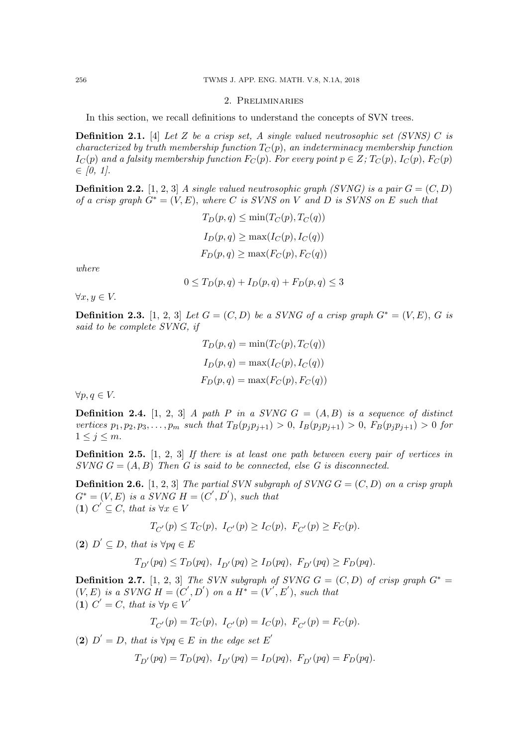## 2. Preliminaries

In this section, we recall definitions to understand the concepts of SVN trees.

**Definition 2.1.** [4] Let Z be a crisp set, A single valued neutrosophic set (SVNS) C is characterized by truth membership function  $T_C(p)$ , an indeterminacy membership function  $I_C(p)$  and a falsity membership function  $F_C(p)$ . For every point  $p \in Z$ ;  $T_C(p)$ ,  $I_C(p)$ ,  $F_C(p)$  $\in$  [0, 1].

**Definition 2.2.** [1, 2, 3] A single valued neutrosophic graph (SVNG) is a pair  $G = (C, D)$ of a crisp graph  $G^* = (V, E)$ , where C is SVNS on V and D is SVNS on E such that

$$
T_D(p,q) \le \min(T_C(p), T_C(q))
$$
  
\n
$$
I_D(p,q) \ge \max(I_C(p), I_C(q))
$$
  
\n
$$
F_D(p,q) \ge \max(F_C(p), F_C(q))
$$

where

$$
0 \leq T_D(p,q) + I_D(p,q) + F_D(p,q) \leq 3
$$

 $\forall x, y \in V.$ 

**Definition 2.3.** [1, 2, 3] Let  $G = (C, D)$  be a SVNG of a crisp graph  $G^* = (V, E)$ , G is said to be complete SVNG, if

$$
T_D(p,q) = \min(T_C(p), T_C(q))
$$
  
\n
$$
I_D(p,q) = \max(I_C(p), I_C(q))
$$
  
\n
$$
F_D(p,q) = \max(F_C(p), F_C(q))
$$

 $\forall p, q \in V.$ 

**Definition 2.4.** [1, 2, 3] A path P in a SVNG  $G = (A, B)$  is a sequence of distinct vertices  $p_1, p_2, p_3, \ldots, p_m$  such that  $T_B(p_i p_{i+1}) > 0$ ,  $I_B(p_i p_{i+1}) > 0$ ,  $F_B(p_i p_{i+1}) > 0$  for  $1 \leq j \leq m$ .

**Definition 2.5.** [1, 2, 3] If there is at least one path between every pair of vertices in  $S V N G G = (A, B)$  Then G is said to be connected, else G is disconnected.

**Definition 2.6.** [1, 2, 3] The partial SVN subgraph of SVNG  $G = (C, D)$  on a crisp graph  $G^* = (V, E)$  is a SVNG  $H = (C', D')$ , such that (1)  $C' \subseteq C$ , that is  $\forall x \in V$ 

$$
T_{C'}(p) \le T_C(p), \ I_{C'}(p) \ge I_C(p), \ F_{C'}(p) \ge F_C(p).
$$

(2)  $D' \subseteq D$ , that is  $\forall pq \in E$ 

$$
T_{D'}(pq) \le T_D(pq), \ I_{D'}(pq) \ge I_D(pq), \ F_{D'}(pq) \ge F_D(pq).
$$

**Definition 2.7.** [1, 2, 3] The SVN subgraph of SVNG  $G = (C, D)$  of crisp graph  $G^* =$  $(V, E)$  is a SVNG  $H = (C', D')$  on a  $H^* = (V', E')$ , such that (1)  $C' = C$ , that is  $\forall p \in V'$ 

$$
T_{C'}(p) = T_C(p), I_{C'}(p) = I_C(p), F_{C'}(p) = F_C(p).
$$

(2)  $D' = D$ , that is  $\forall pq \in E$  in the edge set E'

$$
T_{D'}(pq) = T_D(pq), I_{D'}(pq) = I_D(pq), F_{D'}(pq) = F_D(pq).
$$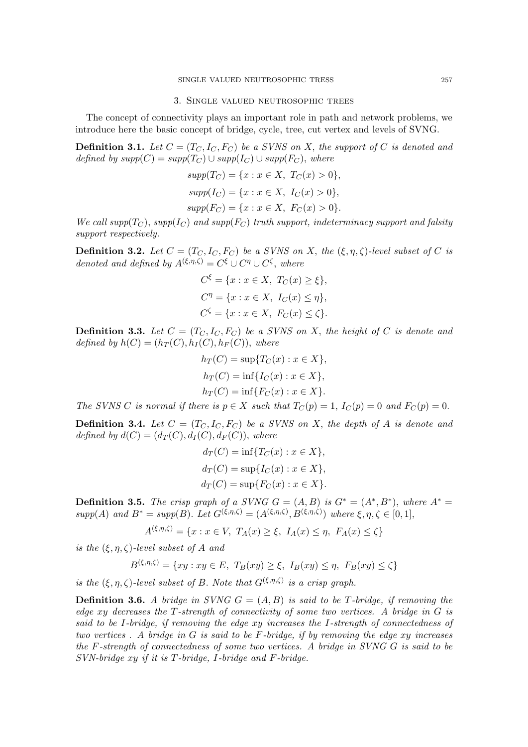## 3. Single valued neutrosophic trees

The concept of connectivity plays an important role in path and network problems, we introduce here the basic concept of bridge, cycle, tree, cut vertex and levels of SVNG.

**Definition 3.1.** Let  $C = (T_C, I_C, F_C)$  be a SVNS on X, the support of C is denoted and defined by  $supp(C) = supp(T_C) \cup supp(I_C) \cup supp(F_C)$ , where

$$
supp(T_C) = \{x : x \in X, T_C(x) > 0\},
$$
  
\n
$$
supp(I_C) = \{x : x \in X, I_C(x) > 0\},
$$
  
\n
$$
supp(F_C) = \{x : x \in X, F_C(x) > 0\}.
$$

We call supp( $T_C$ ), supp( $I_C$ ) and supp( $F_C$ ) truth support, indeterminacy support and falsity support respectively.

**Definition 3.2.** Let  $C = (T_C, I_C, F_C)$  be a SVNS on X, the  $(\xi, \eta, \zeta)$ -level subset of C is denoted and defined by  $A^{(\xi,\eta,\zeta)} = C^{\xi} \cup C^{\eta} \cup C^{\zeta}$ , where

$$
C^{\xi} = \{x : x \in X, T_C(x) \ge \xi\},\
$$

$$
C^{\eta} = \{x : x \in X, I_C(x) \le \eta\},\
$$

$$
C^{\zeta} = \{x : x \in X, F_C(x) \le \zeta\}.
$$

**Definition 3.3.** Let  $C = (T_C, I_C, F_C)$  be a SVNS on X, the height of C is denote and defined by  $h(C) = (h_T(C), h_I(C), h_F(C))$ , where

$$
h_T(C) = \sup\{T_C(x) : x \in X\},
$$
  
\n
$$
h_T(C) = \inf\{I_C(x) : x \in X\},
$$
  
\n
$$
h_T(C) = \inf\{F_C(x) : x \in X\}.
$$

The SVNS C is normal if there is  $p \in X$  such that  $T_C(p) = 1$ ,  $I_C(p) = 0$  and  $F_C(p) = 0$ .

**Definition 3.4.** Let  $C = (T_C, I_C, F_C)$  be a SVNS on X, the depth of A is denote and defined by  $d(C) = (d_T(C), d_I(C), d_F(C))$ , where

$$
d_T(C) = \inf\{T_C(x) : x \in X\},
$$
  
\n
$$
d_T(C) = \sup\{I_C(x) : x \in X\},
$$
  
\n
$$
d_T(C) = \sup\{F_C(x) : x \in X\}.
$$

**Definition 3.5.** The crisp graph of a SVNG  $G = (A, B)$  is  $G^* = (A^*, B^*)$ , where  $A^* =$ supp(A) and  $B^* = supp(B)$ . Let  $G^{(\xi,\eta,\zeta)} = (A^{(\xi,\eta,\zeta)}, B^{(\xi,\eta,\zeta)})$  where  $\xi, \eta, \zeta \in [0,1]$ ,

$$
A^{(\xi,\eta,\zeta)} = \{x : x \in V, T_A(x) \ge \xi, I_A(x) \le \eta, F_A(x) \le \zeta\}
$$

is the  $(\xi, \eta, \zeta)$ -level subset of A and

$$
B^{(\xi,\eta,\zeta)} = \{ xy : xy \in E, T_B(xy) \ge \xi, I_B(xy) \le \eta, F_B(xy) \le \zeta \}
$$

is the  $(\xi, \eta, \zeta)$ -level subset of B. Note that  $G^{(\xi, \eta, \zeta)}$  is a crisp graph.

**Definition 3.6.** A bridge in SVNG  $G = (A, B)$  is said to be T-bridge, if removing the edge xy decreases the T-strength of connectivity of some two vertices. A bridge in G is said to be I-bridge, if removing the edge xy increases the I-strength of connectedness of two vertices. A bridge in  $G$  is said to be  $F$ -bridge, if by removing the edge xy increases the F-strength of connectedness of some two vertices. A bridge in SVNG G is said to be SVN-bridge xy if it is T-bridge, I-bridge and F-bridge.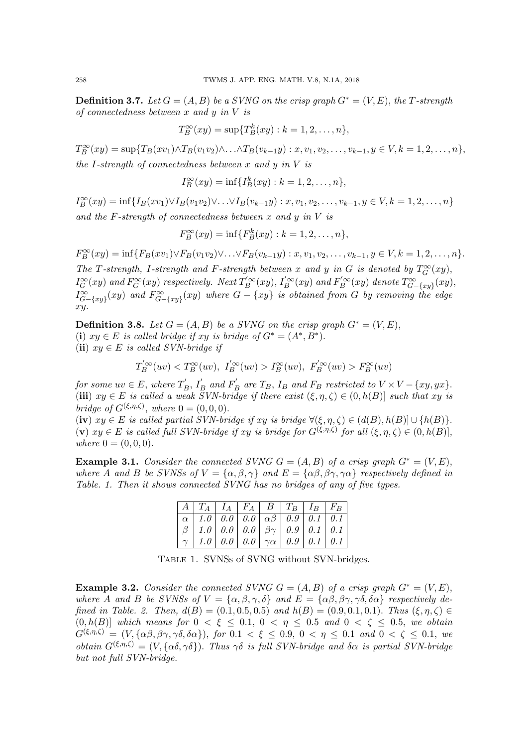**Definition 3.7.** Let  $G = (A, B)$  be a SVNG on the crisp graph  $G^* = (V, E)$ , the T-strength of connectedness between  $x$  and  $y$  in  $V$  is

$$
T_B^{\infty}(xy) = \sup\{T_B^k(xy) : k = 1, 2, \dots, n\},\
$$

 $T_B^{\infty}(xy) = \sup\{T_B(xv_1) \wedge T_B(v_1v_2) \wedge \ldots \wedge T_B(v_{k-1}y) : x, v_1, v_2, \ldots, v_{k-1}, y \in V, k = 1, 2, \ldots, n\},\$ the I-strength of connectedness between  $x$  and  $y$  in  $V$  is

$$
I_B^{\infty}(xy) = \inf \{ I_B^k(xy) : k = 1, 2, ..., n \},\
$$

 $I_B^{\infty}(xy) = \inf\{I_B(xv_1) \vee I_B(v_1v_2) \vee \ldots \vee I_B(v_{k-1}y) : x, v_1, v_2, \ldots, v_{k-1}, y \in V, k = 1, 2, \ldots, n\}$ and the F-strength of connectedness between  $x$  and  $y$  in  $V$  is

$$
F_B^{\infty}(xy) = \inf \{ F_B^k(xy) : k = 1, 2, ..., n \},\
$$

 $F_B^{\infty}(xy) = \inf\{F_B(xv_1) \vee F_B(v_1v_2) \vee \ldots \vee F_B(v_{k-1}y) : x, v_1, v_2, \ldots, v_{k-1}, y \in V, k = 1, 2, \ldots, n\}.$ The T-strength, I-strength and F-strength between x and y in G is denoted by  $T_G^{\infty}(xy)$ ,  $I_G^{\infty}(xy)$  and  $F_G^{\infty}(xy)$  respectively. Next  $T_B^{'\infty}(xy)$ ,  $I_B^{'\infty}(xy)$  and  $F_B^{'\infty}(xy)$  denote  $T_{G-\{xy\}}^{\infty}(xy)$ ,  $I_{G-\{xy\}}^{\infty}(xy)$  and  $F_{G-\{xy\}}^{\infty}(xy)$  where  $G - \{xy\}$  is obtained from G by removing the edge xy.

**Definition 3.8.** Let  $G = (A, B)$  be a SVNG on the crisp graph  $G^* = (V, E)$ , (i)  $xy \in E$  is called bridge if  $xy$  is bridge of  $G^* = (A^*, B^*)$ . (ii)  $xy \in E$  is called SVN-bridge if

$$
T_B^{'\infty}(uv) < T_B^{\infty}(uv), \quad T_B^{'\infty}(uv) > T_B^{\infty}(uv), \quad F_B^{'\infty}(uv) > F_B^{\infty}(uv)
$$

for some  $uv \in E$ , where  $T'_h$  $I'_B$ ,  $I'_B$  and  $F'_B$  $E_B$  are  $T_B$ ,  $I_B$  and  $F_B$  restricted to  $V \times V - \{xy, yx\}.$ (iii)  $xy \in E$  is called a weak  $\tilde{S}VN\text{-}bridge$  if there exist  $(\xi, \eta, \zeta) \in (0, h(B)]$  such that xy is bridge of  $G^{(\xi,\eta,\zeta)}$ , where  $0 = (0,0,0)$ .

(iv)  $xy \in E$  is called partial SVN-bridge if xy is bridge  $\forall (\xi, \eta, \zeta) \in (d(B), h(B)) \cup \{h(B)\}.$ (v)  $xy \in E$  is called full SVN-bridge if  $xy$  is bridge for  $G^{(\xi,\eta,\zeta)}$  for all  $(\xi,\eta,\zeta) \in (0,h(B)],$ where  $0 = (0, 0, 0)$ .

**Example 3.1.** Consider the connected SVNG  $G = (A, B)$  of a crisp graph  $G^* = (V, E)$ . where A and B be SVNSs of  $V = {\alpha, \beta, \gamma}$  and  $E = {\alpha\beta, \beta\gamma, \gamma\alpha}$  respectively defined in Table. 1. Then it shows connected SVNG has no bridges of any of five types.

| $A \mid T_A \mid I_A \mid F_A \mid B \mid T_B \mid I_B \mid F_B \mid$ |  |  |  |
|-----------------------------------------------------------------------|--|--|--|
| $\alpha$   1.0   0.0   0.0   $\alpha\beta$   0.9   0.1   0.1          |  |  |  |
| $\beta$   1.0   0.0   0.0   $\beta\gamma$   0.9   0.1   0.1           |  |  |  |
| $\gamma$   1.0   0.0   0.0   $\gamma \alpha$   0.9   0.1   0.1        |  |  |  |

Table 1. SVNSs of SVNG without SVN-bridges.

**Example 3.2.** Consider the connected SVNG  $G = (A, B)$  of a crisp graph  $G^* = (V, E)$ , where A and B be SVNSs of  $V = {\alpha, \beta, \gamma, \delta}$  and  $E = {\alpha\beta, \beta\gamma, \gamma\delta, \delta\alpha}$  respectively defined in Table. 2. Then,  $d(B) = (0.1, 0.5, 0.5)$  and  $h(B) = (0.9, 0.1, 0.1)$ . Thus  $(\xi, \eta, \zeta) \in$  $(0, h(B)]$  which means for  $0 < \xi \leq 0.1, 0 < \eta \leq 0.5$  and  $0 < \zeta \leq 0.5$ , we obtain  $G^{(\xi,\eta,\zeta)} = (V, {\alpha\beta, \beta\gamma, \gamma\delta, \delta\alpha}),$  for  $0.1 < \xi \leq 0.9, 0 < \eta \leq 0.1$  and  $0 < \zeta \leq 0.1$ , we obtain  $G^{(\xi,\eta,\zeta)} = (V, {\alpha\delta,\gamma\delta})$ . Thus  $\gamma\delta$  is full SVN-bridge and  $\delta\alpha$  is partial SVN-bridge but not full SVN-bridge.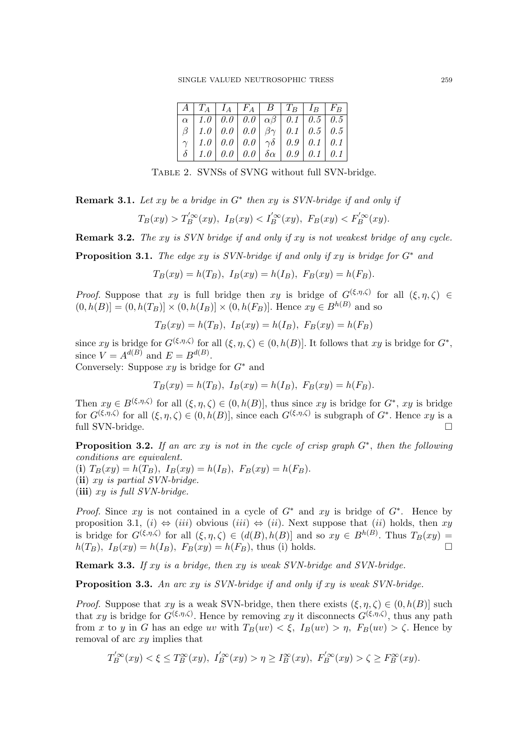|  |  | $A \mid T_A \mid I_A \mid F_A \mid B \mid T_B \mid I_B \mid F_B \mid$ |  |
|--|--|-----------------------------------------------------------------------|--|
|  |  | $\alpha$   1.0   0.0   0.0   $\alpha\beta$   0.1   0.5   0.5          |  |
|  |  | $\beta$   1.0   0.0   0.0   $\beta\gamma$   0.1   0.5   0.5           |  |
|  |  | $\gamma$   1.0   0.0   0.0   $\gamma\delta$   0.9   0.1   0.1         |  |
|  |  | $\delta$   1.0   0.0   0.0   $\delta \alpha$   0.9   0.1   0.1        |  |

Table 2. SVNSs of SVNG without full SVN-bridge.

**Remark 3.1.** Let xy be a bridge in  $G^*$  then xy is SVN-bridge if and only if

$$
T_B(xy) > T'_B^{\prime\infty}(xy), I_B(xy) < I'_B^{\prime\infty}(xy), F_B(xy) < F'_B^{\prime\infty}(xy).
$$

Remark 3.2. The xy is SVN bridge if and only if xy is not weakest bridge of any cycle.

**Proposition 3.1.** The edge xy is SVN-bridge if and only if xy is bridge for  $G^*$  and

 $T_B(xy) = h(T_B), I_B(xy) = h(I_B), F_B(xy) = h(F_B).$ 

*Proof.* Suppose that xy is full bridge then xy is bridge of  $G^{(\xi,\eta,\zeta)}$  for all  $(\xi,\eta,\zeta) \in$  $(0, h(B)] = (0, h(T_B)] \times (0, h(I_B)] \times (0, h(F_B))$ . Hence  $xy \in B^{h(B)}$  and so

$$
T_B(xy) = h(T_B), I_B(xy) = h(I_B), F_B(xy) = h(F_B)
$$

since xy is bridge for  $G^{(\xi,\eta,\zeta)}$  for all  $(\xi,\eta,\zeta) \in (0,h(B)]$ . It follows that xy is bridge for  $G^*$ , since  $V = A^{d(B)}$  and  $E = B^{d(B)}$ .

Conversely: Suppose  $xy$  is bridge for  $G^*$  and

$$
T_B(xy) = h(T_B), I_B(xy) = h(I_B), F_B(xy) = h(F_B).
$$

Then  $xy \in B^{(\xi,\eta,\zeta)}$  for all  $(\xi,\eta,\zeta) \in (0,h(B)]$ , thus since xy is bridge for  $G^*$ , xy is bridge for  $G^{(\xi,\eta,\zeta)}$  for all  $(\xi,\eta,\zeta) \in (0,h(B)]$ , since each  $G^{(\xi,\eta,\zeta)}$  is subgraph of  $G^*$ . Hence  $xy$  is a full SVN-bridge.

**Proposition 3.2.** If an arc xy is not in the cycle of crisp graph  $G^*$ , then the following conditions are equivalent.

(i)  $T_B(xy) = h(T_B)$ ,  $I_B(xy) = h(I_B)$ ,  $F_B(xy) = h(F_B)$ . (ii) xy is partial SVN-bridge.

(iii)  $xy$  is full SVN-bridge.

*Proof.* Since xy is not contained in a cycle of  $G^*$  and xy is bridge of  $G^*$ . Hence by proposition 3.1, (i)  $\Leftrightarrow$  (iii) obvious (iii)  $\Leftrightarrow$  (ii). Next suppose that (ii) holds, then xy is bridge for  $G^{(\xi,\eta,\zeta)}$  for all  $(\xi,\eta,\zeta) \in (d(B),h(B)]$  and so  $xy \in B^{h(B)}$ . Thus  $T_B(xy) =$  $h(T_B)$ ,  $I_B(xy) = h(I_B)$ ,  $F_B(xy) = h(F_B)$ , thus (i) holds.

Remark 3.3. If xy is a bridge, then xy is weak SVN-bridge and SVN-bridge.

**Proposition 3.3.** An arc xy is SVN-bridge if and only if xy is weak SVN-bridge.

*Proof.* Suppose that  $xy$  is a weak SVN-bridge, then there exists  $(\xi, \eta, \zeta) \in (0, h(B)]$  such that xy is bridge for  $G^{(\xi,\eta,\zeta)}$ . Hence by removing xy it disconnects  $G^{(\xi,\eta,\zeta)}$ , thus any path from x to y in G has an edge uv with  $T_B(uv) < \xi$ ,  $I_B(uv) > \eta$ ,  $F_B(uv) > \zeta$ . Hence by removal of arc xy implies that

$$
T_B^{'\infty}(xy) < \xi \le T_B^{\infty}(xy), \ I_B^{'\infty}(xy) > \eta \ge I_B^{\infty}(xy), \ F_B^{'\infty}(xy) > \zeta \ge F_B^{\infty}(xy).
$$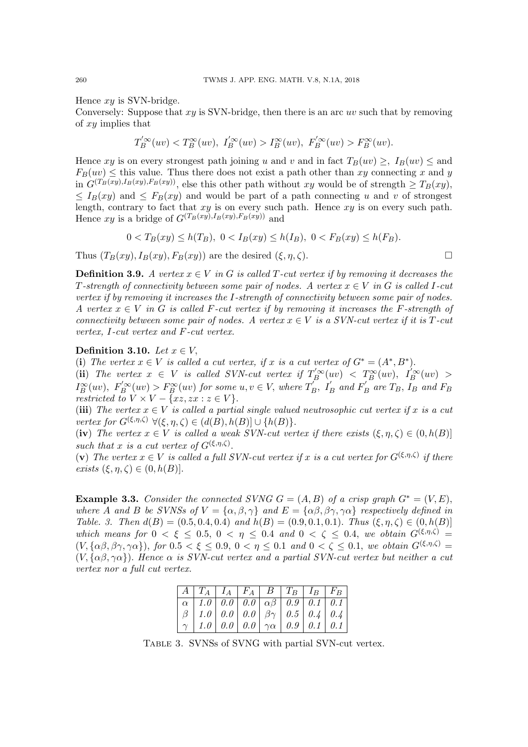Hence  $xy$  is SVN-bridge.

Conversely: Suppose that  $xy$  is SVN-bridge, then there is an arc uv such that by removing of xy implies that

$$
T_B^{'\infty}(uv) < T_B^{\infty}(uv), \quad T_B^{'\infty}(uv) > T_B^{\infty}(uv), \quad F_B^{'\infty}(uv) > F_B^{\infty}(uv).
$$

Hence xy is on every strongest path joining u and v and in fact  $T_B(uv) >$ ,  $I_B(uv) <$  and  $F_B(uv) \leq$  this value. Thus there does not exist a path other than xy connecting x and y in  $G^{(T_B(xy),I_B(xy),F_B(xy))}$ , else this other path without xy would be of strength  $\geq T_B(xy)$ ,  $\leq I_B(xy)$  and  $\leq F_B(xy)$  and would be part of a path connecting u and v of strongest length, contrary to fact that  $xy$  is on every such path. Hence  $xy$  is on every such path. Hence  $xy$  is a bridge of  $G^{(T_B(xy),I_B(xy),F_B(xy))}$  and

$$
0 < T_B(xy) \le h(T_B), \ 0 < I_B(xy) \le h(I_B), \ 0 < F_B(xy) \le h(F_B).
$$

Thus  $(T_B(xy), I_B(xy), F_B(xy))$  are the desired  $(\xi, \eta, \zeta)$ .

**Definition 3.9.** A vertex  $x \in V$  in G is called T-cut vertex if by removing it decreases the T-strength of connectivity between some pair of nodes. A vertex  $x \in V$  in G is called I-cut vertex if by removing it increases the I-strength of connectivity between some pair of nodes. A vertex  $x \in V$  in G is called F-cut vertex if by removing it increases the F-strength of connectivity between some pair of nodes. A vertex  $x \in V$  is a SVN-cut vertex if it is T-cut vertex, I-cut vertex and F-cut vertex.

## Definition 3.10. Let  $x \in V$ ,

(i) The vertex  $x \in V$  is called a cut vertex, if x is a cut vertex of  $G^* = (A^*, B^*)$ .

(ii) The vertex  $x \in V$  is called SVN-cut vertex if  $T_B^{\prime \infty}(uv) < T_B^{\infty}(uv)$ ,  $I_B^{\prime \infty}(uv) >$  $I_B^{\infty}(uv)$ ,  $F_B^{'\infty}(uv) > F_B^{\infty}(uv)$  for some  $u, v \in V$ , where  $T_B'$  $I'_B$ ,  $I'_B$  and  $F'_B$  $T_B$  are  $T_B$ ,  $I_B$  and  $F_B$ restricted to  $V \times V - \{xz, zx : z \in V\}.$ 

(iii) The vertex  $x \in V$  is called a partial single valued neutrosophic cut vertex if x is a cut vertex for  $G^{(\xi,\eta,\zeta)}$   $\forall (\xi,\eta,\zeta) \in (d(B),h(B)] \cup \{h(B)\}.$ 

(iv) The vertex  $x \in V$  is called a weak SVN-cut vertex if there exists  $(\xi, \eta, \zeta) \in (0, h(B))$ such that x is a cut vertex of  $G^{(\xi,\eta,\zeta)}$ .

(v) The vertex  $x \in V$  is called a full SVN-cut vertex if x is a cut vertex for  $G^{(\xi,\eta,\zeta)}$  if there exists  $(\xi, \eta, \zeta) \in (0, h(B)).$ 

**Example 3.3.** Consider the connected SVNG  $G = (A, B)$  of a crisp graph  $G^* = (V, E)$ , where A and B be SVNSs of  $V = {\alpha, \beta, \gamma}$  and  $E = {\alpha\beta, \beta\gamma, \gamma\alpha}$  respectively defined in Table. 3. Then  $d(B) = (0.5, 0.4, 0.4)$  and  $h(B) = (0.9, 0.1, 0.1)$ . Thus  $(\xi, \eta, \zeta) \in (0, h(B)]$ which means for  $0 < \xi \leq 0.5$ ,  $0 < \eta \leq 0.4$  and  $0 < \zeta \leq 0.4$ , we obtain  $G^{(\xi,\eta,\zeta)}$  $(V, {\alpha\beta, \beta\gamma, \gamma\alpha}),$  for  $0.5 < \xi \leq 0.9, 0 < \eta \leq 0.1$  and  $0 < \zeta \leq 0.1$ , we obtain  $G^{(\xi,\eta,\zeta)}$  $(V, {\alpha\beta, \gamma\alpha})$ . Hence  $\alpha$  is SVN-cut vertex and a partial SVN-cut vertex but neither a cut vertex nor a full cut vertex.

| $\mid A \mid T_A \mid I_A \mid F_A \mid B \mid T_B \mid I_B \mid F_B \mid$                                     |  |  |  |
|----------------------------------------------------------------------------------------------------------------|--|--|--|
| $\left[\begin{array}{c c c c c c} \alpha & 1.0 & 0.0 & 0.0 & \alpha\beta & 0.9 & 0.1 & 0.1 \end{array}\right]$ |  |  |  |
|                                                                                                                |  |  |  |
|                                                                                                                |  |  |  |

Table 3. SVNSs of SVNG with partial SVN-cut vertex.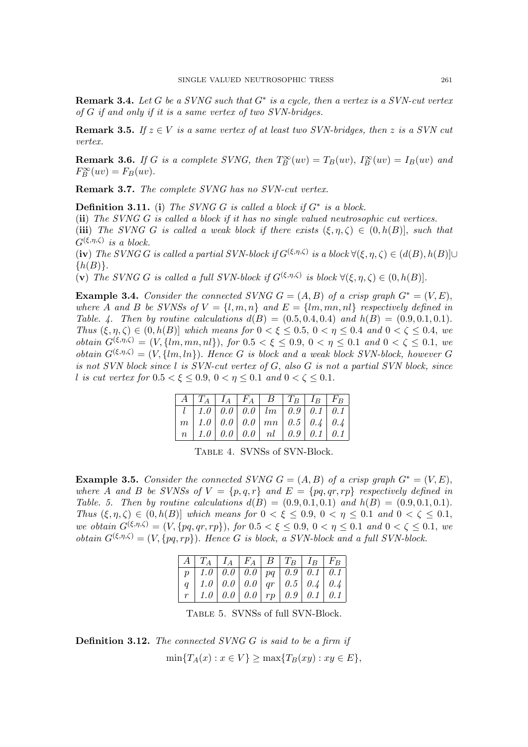**Remark 3.4.** Let G be a SVNG such that  $G^*$  is a cycle, then a vertex is a SVN-cut vertex of G if and only if it is a same vertex of two SVN-bridges.

**Remark 3.5.** If  $z \in V$  is a same vertex of at least two SVN-bridges, then z is a SVN cut vertex.

**Remark 3.6.** If G is a complete SVNG, then  $T_B^{\infty}(uv) = T_B(uv)$ ,  $I_B^{\infty}(uv) = I_B(uv)$  and  $F_B^{\infty}(uv) = F_B(uv).$ 

Remark 3.7. The complete SVNG has no SVN-cut vertex.

**Definition 3.11.** (i) The SVNG G is called a block if  $G^*$  is a block.

(ii) The SVNG G is called a block if it has no single valued neutrosophic cut vertices.

(iii) The SVNG G is called a weak block if there exists  $(\xi, \eta, \zeta) \in (0, h(B)]$ , such that  $G^{(\xi,\eta,\zeta)}$  is a block.

(iv) The SVNG G is called a partial SVN-block if  $G^{(\xi,\eta,\zeta)}$  is a block  $\forall (\xi,\eta,\zeta) \in (d(B),h(B)] \cup$  $\{h(B)\}.$ 

(v) The SVNG G is called a full SVN-block if  $G^{(\xi,\eta,\zeta)}$  is block  $\forall (\xi,\eta,\zeta) \in (0,h(B)].$ 

Example 3.4. Consider the connected SVNG  $G = (A, B)$  of a crisp graph  $G^* = (V, E)$ , where A and B be SVNSs of  $V = \{l, m, n\}$  and  $E = \{lm, mn, nl\}$  respectively defined in Table. 4. Then by routine calculations  $d(B) = (0.5, 0.4, 0.4)$  and  $h(B) = (0.9, 0.1, 0.1)$ . Thus  $(\xi, \eta, \zeta) \in (0, h(B)]$  which means for  $0 < \xi \leq 0.5$ ,  $0 < \eta \leq 0.4$  and  $0 < \zeta \leq 0.4$ , we obtain  $G^{(\xi,\eta,\zeta)} = (V, \{lm,mn,nl\})$ , for  $0.5 < \xi \leq 0.9$ ,  $0 < \eta \leq 0.1$  and  $0 < \zeta \leq 0.1$ , we obtain  $G^{(\xi,\eta,\zeta)} = (V, \{lm, ln\})$ . Hence G is block and a weak block SVN-block, however G is not SVN block since l is SVN-cut vertex of G, also G is not a partial SVN block, since l is cut vertex for  $0.5 < \xi \leq 0.9$ ,  $0 < \eta \leq 0.1$  and  $0 < \zeta \leq 0.1$ .

|  |  | $\mid A \mid T_A \mid I_A \mid F_A \mid B \mid T_B \mid I_B \mid F_B \mid$ |  |  |
|--|--|----------------------------------------------------------------------------|--|--|
|  |  | $l \mid 1.0 \mid 0.0 \mid 0.0 \mid lm \mid 0.9 \mid 0.1 \mid 0.1 \mid$     |  |  |
|  |  | $m \mid 1.0 \mid 0.0 \mid 0.0 \mid mn \mid 0.5 \mid 0.4 \mid 0.4 \mid$     |  |  |
|  |  | $n \mid 1.0 \mid 0.0 \mid 0.0 \mid n \mid 0.9 \mid 0.1 \mid 0.1 \mid$      |  |  |

Table 4. SVNSs of SVN-Block.

Example 3.5. Consider the connected SVNG  $G = (A, B)$  of a crisp graph  $G^* = (V, E)$ , where A and B be SVNSs of  $V = \{p, q, r\}$  and  $E = \{pq, qr, rp\}$  respectively defined in Table. 5. Then by routine calculations  $d(B) = (0.9, 0.1, 0.1)$  and  $h(B) = (0.9, 0.1, 0.1)$ . Thus  $(\xi, \eta, \zeta) \in (0, h(B)]$  which means for  $0 < \xi \leq 0.9$ ,  $0 < \eta \leq 0.1$  and  $0 < \zeta \leq 0.1$ , we obtain  $G^{(\xi,\eta,\zeta)} = (V, \{pq,qr,rp\}),$  for  $0.5 < \xi \leq 0.9, 0 < \eta \leq 0.1$  and  $0 < \zeta \leq 0.1$ , we obtain  $G^{(\xi,\eta,\zeta)} = (V, \{pq, rp\})$ . Hence G is block, a SVN-block and a full SVN-block.

| $\mid A \mid T_A \mid I_A \mid F_A \mid B \mid T_B \mid I_B \mid F_B$                                                                                                                                                                                             |  |  |  |
|-------------------------------------------------------------------------------------------------------------------------------------------------------------------------------------------------------------------------------------------------------------------|--|--|--|
|                                                                                                                                                                                                                                                                   |  |  |  |
|                                                                                                                                                                                                                                                                   |  |  |  |
| $\begin{tabular}{ c c c c c c c c } \hline $p$ & $1.0$ & $0.0$ & $0.0$ & $pq$ & $0.9$ & $0.1$ & $0.1$ \\ \hline $q$ & $1.0$ & $0.0$ & $0.0$ & $qr$ & $0.5$ & $0.4$ & $0.4$ \\ $r$ & $1.0$ & $0.0$ & $0.0$ & $rp$ & $0.9$ & $0.1$ & $0.1$ \\ \hline \end{tabular}$ |  |  |  |

Table 5. SVNSs of full SVN-Block.

**Definition 3.12.** The connected SVNG  $G$  is said to be a firm if  $\min\{T_A(x) : x \in V\} \ge \max\{T_B(xy) : xy \in E\},\$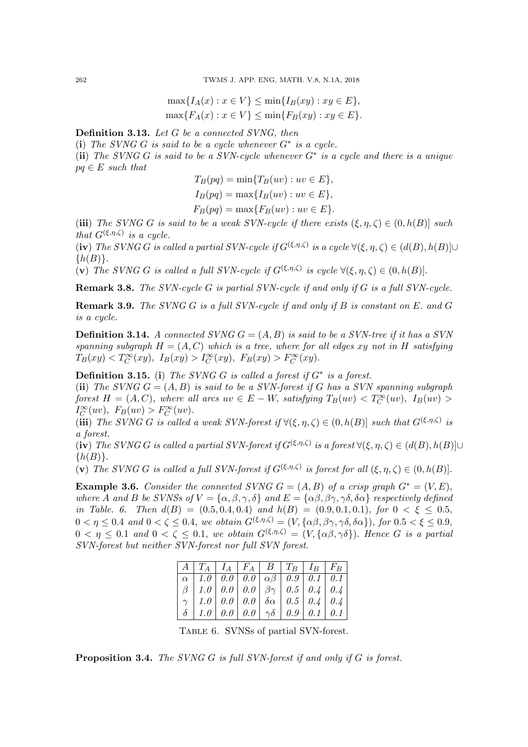$$
\max\{I_A(x) : x \in V\} \le \min\{I_B(xy) : xy \in E\},
$$
  

$$
\max\{F_A(x) : x \in V\} \le \min\{F_B(xy) : xy \in E\}.
$$

Definition 3.13. Let G be a connected SVNG, then

(i) The SVNG G is said to be a cycle whenever  $G^*$  is a cycle.

(ii) The SVNG G is said to be a SVN-cycle whenever  $G^*$  is a cycle and there is a unique  $pq \in E$  such that

$$
T_B(pq) = \min\{T_B(uv) : uv \in E\},
$$
  
\n
$$
I_B(pq) = \max\{I_B(uv) : uv \in E\},
$$
  
\n
$$
F_B(pq) = \max\{F_B(uv) : uv \in E\}.
$$

(iii) The SVNG G is said to be a weak SVN-cycle if there exists  $(\xi, \eta, \zeta) \in (0, h(B)]$  such that  $G^{(\xi,\eta,\zeta)}$  is a cycle.

(iv) The SVNG G is called a partial SVN-cycle if  $G^{(\xi,\eta,\zeta)}$  is a cycle  $\forall (\xi,\eta,\zeta) \in (d(B),h(B)] \cup$  $\{h(B)\}.$ 

(v) The SVNG G is called a full SVN-cycle if  $G^{(\xi,\eta,\zeta)}$  is cycle  $\forall (\xi,\eta,\zeta) \in (0,h(B)].$ 

Remark 3.8. The SVN-cycle G is partial SVN-cycle if and only if G is a full SVN-cycle.

**Remark 3.9.** The SVNG G is a full SVN-cycle if and only if B is constant on  $E$ . and  $G$ is a cycle.

**Definition 3.14.** A connected SVNG  $G = (A, B)$  is said to be a SVN-tree if it has a SVN spanning subgraph  $H = (A, C)$  which is a tree, where for all edges xy not in H satisfying  $T_B(xy) < T_C^{\infty}(xy)$ ,  $I_B(xy) > I_C^{\infty}(xy)$ ,  $F_B(xy) > F_C^{\infty}(xy)$ .

**Definition 3.15.** (i) The SVNG G is called a forest if  $G^*$  is a forest.

(ii) The SVNG  $G = (A, B)$  is said to be a SVN-forest if G has a SVN spanning subgraph forest  $H = (A, C)$ , where all arcs  $uv \in E - W$ , satisfying  $T_B(uv) < T_C^{\infty}(uv)$ ,  $I_B(uv) >$  $I_C^{\infty}(uv), F_B(uv) > F_C^{\infty}(uv).$ 

(iii) The SVNG G is called a weak SVN-forest if  $\forall (\xi, \eta, \zeta) \in (0, h(B)]$  such that  $G^{(\xi, \eta, \zeta)}$  is a forest.

(iv) The SVNG G is called a partial SVN-forest if  $G^{(\xi,\eta,\zeta)}$  is a forest  $\forall (\xi,\eta,\zeta) \in (d(B),h(B)] \cup$  $\{h(B)\}.$ 

(v) The SVNG G is called a full SVN-forest if  $G^{(\xi,\eta,\zeta)}$  is forest for all  $(\xi,\eta,\zeta) \in (0,h(B)].$ 

**Example 3.6.** Consider the connected SVNG  $G = (A, B)$  of a crisp graph  $G^* = (V, E)$ , where A and B be SVNSs of  $V = {\alpha, \beta, \gamma, \delta}$  and  $E = {\alpha\beta, \beta\gamma, \gamma\delta, \delta\alpha}$  respectively defined in Table. 6. Then  $d(B) = (0.5, 0.4, 0.4)$  and  $h(B) = (0.9, 0.1, 0.1)$ , for  $0 < \xi \le 0.5$ ,  $0 < \eta \leq 0.4$  and  $0 < \zeta \leq 0.4$ , we obtain  $G^{(\xi,\eta,\zeta)} = (V, {\alpha\beta, \beta\gamma, \gamma\delta, \delta\alpha})$ , for  $0.5 < \xi \leq 0.9$ ,  $0 < \eta \leq 0.1$  and  $0 < \zeta \leq 0.1$ , we obtain  $G^{(\xi,\eta,\zeta)} = (V, {\alpha\beta,\gamma\delta})$ . Hence G is a partial SVN-forest but neither SVN-forest nor full SVN forest.

|  |  | $\mid A \mid T_A \mid I_A \mid F_A \mid B \mid T_B \mid I_B \mid F_B \mid$               |  |
|--|--|------------------------------------------------------------------------------------------|--|
|  |  | $\alpha$   1.0   0.0   0.0   $\alpha\beta$   0.9   0.1   0.1                             |  |
|  |  | $\mid \beta \mid 1.0 \mid 0.0 \mid 0.0 \mid \beta\gamma \mid 0.5 \mid 0.4 \mid 0.4 \mid$ |  |
|  |  | $\gamma$   1.0   0.0   0.0   $\delta \alpha$   0.5   0.4   0.4                           |  |
|  |  | $\delta$   1.0   0.0   0.0   $\gamma\delta$   0.9   0.1   0.1                            |  |

Table 6. SVNSs of partial SVN-forest.

Proposition 3.4. The SVNG G is full SVN-forest if and only if G is forest.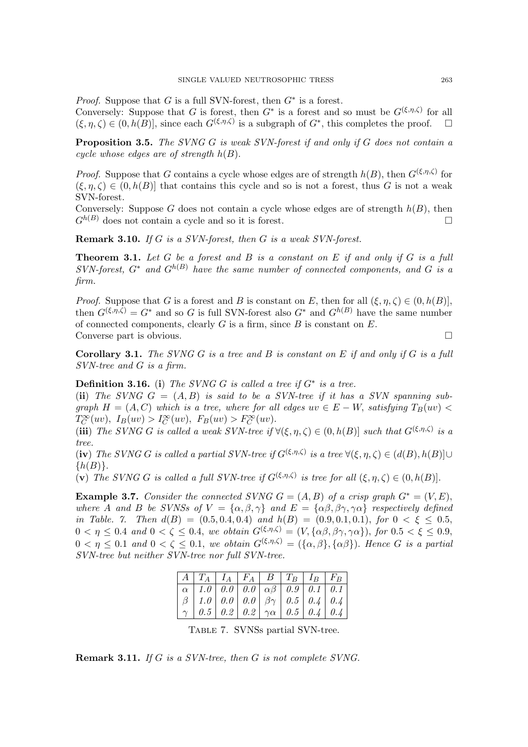*Proof.* Suppose that G is a full SVN-forest, then  $G^*$  is a forest.

Conversely: Suppose that G is forest, then  $G^*$  is a forest and so must be  $G^{(\xi,\eta,\zeta)}$  for all  $(\xi, \eta, \zeta) \in (0, h(B)]$ , since each  $G^{(\xi, \eta, \zeta)}$  is a subgraph of  $G^*$ , this completes the proof.  $\square$ 

Proposition 3.5. The SVNG G is weak SVN-forest if and only if G does not contain a cycle whose edges are of strength  $h(B)$ .

*Proof.* Suppose that G contains a cycle whose edges are of strength  $h(B)$ , then  $G^{(\xi,\eta,\zeta)}$  for  $(\xi, \eta, \zeta) \in (0, h(B)]$  that contains this cycle and so is not a forest, thus G is not a weak SVN-forest.

Conversely: Suppose G does not contain a cycle whose edges are of strength  $h(B)$ , then  $G^{h(B)}$  does not contain a cycle and so it is forest.

Remark 3.10. If G is a SVN-forest, then G is a weak SVN-forest.

**Theorem 3.1.** Let  $G$  be a forest and  $B$  is a constant on  $E$  if and only if  $G$  is a full  $SVN\text{-}forest, G^*$  and  $G^{h(B)}$  have the same number of connected components, and G is a firm.

*Proof.* Suppose that G is a forest and B is constant on E, then for all  $(\xi, \eta, \zeta) \in (0, h(B)),$ then  $G^{(\xi,\eta,\zeta)} = G^*$  and so G is full SVN-forest also  $G^*$  and  $G^{h(B)}$  have the same number of connected components, clearly  $G$  is a firm, since  $B$  is constant on  $E$ . Converse part is obvious.

**Corollary 3.1.** The SVNG G is a tree and B is constant on E if and only if G is a full SVN-tree and G is a firm.

# **Definition 3.16.** (i) The SVNG G is called a tree if  $G^*$  is a tree.

(ii) The SVNG  $G = (A, B)$  is said to be a SVN-tree if it has a SVN spanning subgraph  $H = (A, C)$  which is a tree, where for all edges  $uv \in E - W$ , satisfying  $T_B(uv)$  $T_C^{\infty}(uv), I_B(uv) > I_C^{\infty}(uv), F_B(uv) > F_C^{\infty}(uv).$ 

(iii) The SVNG G is called a weak SVN-tree if  $\forall (\xi, \eta, \zeta) \in (0, h(B)]$  such that  $G^{(\xi, \eta, \zeta)}$  is a tree.

(iv) The SVNG G is called a partial SVN-tree if  $G^{(\xi,\eta,\zeta)}$  is a tree  $\forall (\xi,\eta,\zeta) \in (d(B),h(B)] \cup$  $\{h(B)\}.$ 

(v) The SVNG G is called a full SVN-tree if  $G^{(\xi,\eta,\zeta)}$  is tree for all  $(\xi,\eta,\zeta) \in (0,h(B)].$ 

Example 3.7. Consider the connected SVNG  $G = (A, B)$  of a crisp graph  $G^* = (V, E)$ , where A and B be SVNSs of  $V = {\alpha, \beta, \gamma}$  and  $E = {\alpha\beta, \beta\gamma, \gamma\alpha}$  respectively defined in Table. 7. Then  $d(B) = (0.5, 0.4, 0.4)$  and  $h(B) = (0.9, 0.1, 0.1)$ , for  $0 < \xi < 0.5$ ,  $0 < \eta \leq 0.4$  and  $0 < \zeta \leq 0.4$ , we obtain  $G^{(\xi,\eta,\zeta)} = (V, {\alpha\beta, \beta\gamma, \gamma\alpha})$ , for  $0.5 < \xi \leq 0.9$ ,  $0 < \eta \leq 0.1$  and  $0 < \zeta \leq 0.1$ , we obtain  $G^{(\xi,\eta,\zeta)} = (\{\alpha,\beta\},\{\alpha\beta\})$ . Hence G is a partial SVN-tree but neither SVN-tree nor full SVN-tree.

|                                                                                                                   |  |  | $\mid A \mid T_A \mid I_A \mid F_A \mid B \mid T_B \mid I_B \mid F_B \mid$ |
|-------------------------------------------------------------------------------------------------------------------|--|--|----------------------------------------------------------------------------|
|                                                                                                                   |  |  | $\boxed{\alpha$   1.0   0.0   0.0   $\alpha\beta$   0.9   0.1   0.1        |
|                                                                                                                   |  |  | $\beta$   1.0   0.0   0.0   $\beta\gamma$   0.5   0.4   0.4                |
| $\left[\begin{array}{c c c c c c} \ \gamma & 0.5 & 0.2 & 0.2 & \gamma\alpha & 0.5 & 0.4 & 0.4 \end{array}\right]$ |  |  |                                                                            |

Table 7. SVNSs partial SVN-tree.

Remark 3.11. If G is a SVN-tree, then G is not complete SVNG.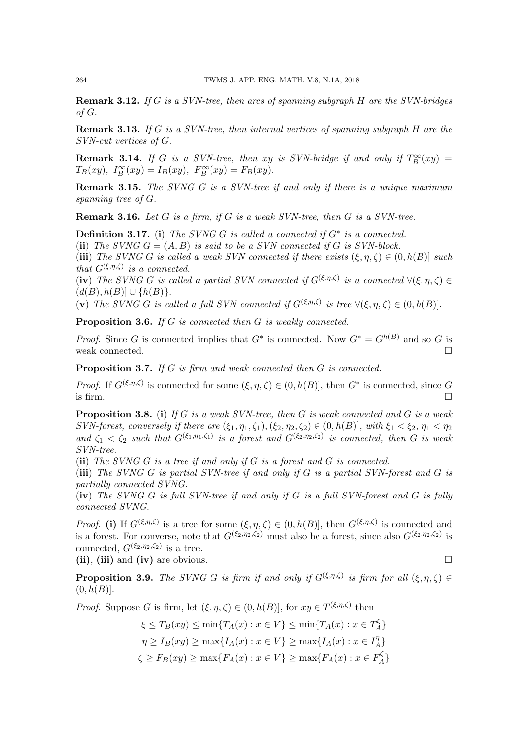**Remark 3.12.** If G is a SVN-tree, then arcs of spanning subgraph  $H$  are the SVN-bridges of G.

**Remark 3.13.** If G is a SVN-tree, then internal vertices of spanning subgraph  $H$  are the SVN-cut vertices of G.

**Remark 3.14.** If G is a SVN-tree, then xy is SVN-bridge if and only if  $T_B^{\infty}(xy) =$  $T_B(xy), T_B^{\infty}(xy) = I_B(xy), F_B^{\infty}(xy) = F_B(xy).$ 

**Remark 3.15.** The SVNG G is a SVN-tree if and only if there is a unique maximum spanning tree of G.

**Remark 3.16.** Let  $G$  is a firm, if  $G$  is a weak SVN-tree, then  $G$  is a SVN-tree.

**Definition 3.17.** (i) The SVNG G is called a connected if  $G^*$  is a connected.

(ii) The SVNG  $G = (A, B)$  is said to be a SVN connected if G is SVN-block.

(iii) The SVNG G is called a weak SVN connected if there exists  $(\xi, \eta, \zeta) \in (0, h(B)]$  such that  $G^{(\xi,\eta,\zeta)}$  is a connected.

(iv) The SVNG G is called a partial SVN connected if  $G^{(\xi,\eta,\zeta)}$  is a connected  $\forall (\xi,\eta,\zeta) \in$  $(d(B), h(B)] \cup \{h(B)\}.$ 

(v) The SVNG G is called a full SVN connected if  $G^{(\xi,\eta,\zeta)}$  is tree  $\forall (\xi,\eta,\zeta) \in (0,h(B)].$ 

Proposition 3.6. If G is connected then G is weakly connected.

*Proof.* Since G is connected implies that  $G^*$  is connected. Now  $G^* = G^{h(B)}$  and so G is weak connected.  $\square$ 

**Proposition 3.7.** If G is firm and weak connected then G is connected.

*Proof.* If  $G^{(\xi,\eta,\zeta)}$  is connected for some  $(\xi,\eta,\zeta) \in (0,h(B)]$ , then  $G^*$  is connected, since G is firm.  $\Box$ 

**Proposition 3.8.** (i) If G is a weak SVN-tree, then G is weak connected and G is a weak SVN-forest, conversely if there are  $(\xi_1, \eta_1, \zeta_1), (\xi_2, \eta_2, \zeta_2) \in (0, h(B)]$ , with  $\xi_1 < \xi_2, \eta_1 < \eta_2$ and  $\zeta_1 < \zeta_2$  such that  $G^{(\xi_1,\eta_1,\zeta_1)}$  is a forest and  $G^{(\xi_2,\eta_2,\zeta_2)}$  is connected, then G is weak SVN-tree.

(ii) The SVNG  $G$  is a tree if and only if  $G$  is a forest and  $G$  is connected.

(iii) The SVNG  $G$  is partial SVN-tree if and only if  $G$  is a partial SVN-forest and  $G$  is partially connected SVNG.

 $(iv)$  The SVNG G is full SVN-tree if and only if G is a full SVN-forest and G is fully connected SVNG.

*Proof.* (i) If  $G^{(\xi,\eta,\zeta)}$  is a tree for some  $(\xi,\eta,\zeta) \in (0,h(B)]$ , then  $G^{(\xi,\eta,\zeta)}$  is connected and is a forest. For converse, note that  $G^{(\xi_2,\eta_2,\zeta_2)}$  must also be a forest, since also  $G^{(\xi_2,\eta_2,\zeta_2)}$  is connected,  $G^{(\xi_2,\eta_2,\zeta_2)}$  is a tree.

(ii), (iii) and (iv) are obvious.

**Proposition 3.9.** The SVNG G is firm if and only if  $G^{(\xi,\eta,\zeta)}$  is firm for all  $(\xi,\eta,\zeta) \in$  $(0, h(B))$ .

*Proof.* Suppose G is firm, let  $(\xi, \eta, \zeta) \in (0, h(B)]$ , for  $xy \in T^{(\xi, \eta, \zeta)}$  then

$$
\xi \le T_B(xy) \le \min\{T_A(x) : x \in V\} \le \min\{T_A(x) : x \in T_A^{\xi}\}
$$

$$
\eta \ge I_B(xy) \ge \max\{I_A(x) : x \in V\} \ge \max\{I_A(x) : x \in I_A^{\eta}\}
$$

$$
\zeta \ge F_B(xy) \ge \max\{F_A(x) : x \in V\} \ge \max\{F_A(x) : x \in F_A^{\zeta}\}
$$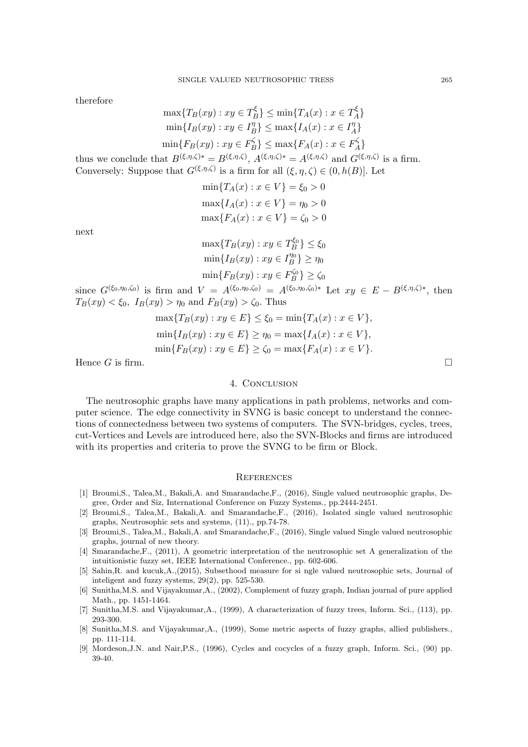therefore

$$
\max\{T_B(xy) : xy \in T_B^{\xi}\} \le \min\{T_A(x) : x \in T_A^{\xi}\}
$$

$$
\min\{I_B(xy) : xy \in I_B^{\eta}\} \le \max\{I_A(x) : x \in I_A^{\eta}\}
$$

$$
\min\{F_B(xy) : xy \in F_B^{\zeta}\} \le \max\{F_A(x) : x \in F_A^{\zeta}\}
$$

thus we conclude that  $B^{(\xi,\eta,\zeta)*} = B^{(\xi,\eta,\zeta)}, A^{(\xi,\eta,\zeta)*} = A^{(\xi,\eta,\zeta)}$  and  $G^{(\xi,\eta,\zeta)}$  is a firm. Conversely: Suppose that  $G^{(\xi,\eta,\zeta)}$  is a firm for all  $(\xi,\eta,\zeta) \in (0,h(B)]$ . Let

$$
\min\{T_A(x) : x \in V\} = \xi_0 > 0
$$

$$
\max\{I_A(x) : x \in V\} = \eta_0 > 0
$$

$$
\max\{F_A(x) : x \in V\} = \zeta_0 > 0
$$

next

$$
\max\{T_B(xy) : xy \in T_B^{\xi_0}\} \le \xi_0
$$
  
\n
$$
\min\{I_B(xy) : xy \in I_B^{\eta_0}\} \ge \eta_0
$$
  
\n
$$
\min\{F_B(xy) : xy \in F_B^{\zeta_0}\} \ge \zeta_0
$$

since  $G^{(\xi_0,\eta_0,\zeta_0)}$  is firm and  $V = A^{(\xi_0,\eta_0,\zeta_0)} = A^{(\xi_0,\eta_0,\zeta_0)*}$  Let  $xy \in E - B^{(\xi,\eta,\zeta)*}$ , then  $T_B(xy) < \xi_0$ ,  $I_B(xy) > \eta_0$  and  $F_B(xy) > \zeta_0$ . Thus

$$
\max\{T_B(xy) : xy \in E\} \le \xi_0 = \min\{T_A(x) : x \in V\},\
$$
  
\n
$$
\min\{I_B(xy) : xy \in E\} \ge \eta_0 = \max\{I_A(x) : x \in V\},\
$$
  
\n
$$
\min\{F_B(xy) : xy \in E\} \ge \zeta_0 = \max\{F_A(x) : x \in V\}.
$$

Hence G is firm.  $\square$ 

## 4. Conclusion

The neutrosophic graphs have many applications in path problems, networks and computer science. The edge connectivity in SVNG is basic concept to understand the connections of connectedness between two systems of computers. The SVN-bridges, cycles, trees, cut-Vertices and Levels are introduced here, also the SVN-Blocks and firms are introduced with its properties and criteria to prove the SVNG to be firm or Block.

#### **REFERENCES**

- [1] Broumi,S., Talea,M., Bakali,A. and Smarandache,F., (2016), Single valued neutrosophic graphs, Degree, Order and Siz, International Conference on Fuzzy Systems., pp.2444-2451.
- [2] Broumi,S., Talea,M., Bakali,A. and Smarandache,F., (2016), Isolated single valued neutrosophic graphs, Neutrosophic sets and systems, (11)., pp.74-78.
- [3] Broumi,S., Talea,M., Bakali,A. and Smarandache,F., (2016), Single valued Single valued neutrosophic graphs, journal of new theory.
- [4] Smarandache,F., (2011), A geometric interpretation of the neutrosophic set A generalization of the intuitionistic fuzzy set, IEEE International Conference., pp. 602-606.
- [5] Sahin,R. and kucuk,A.,(2015), Subsethood measure for si ngle valued neutrosophic sets, Journal of inteligent and fuzzy systems, 29(2), pp. 525-530.
- [6] Sunitha,M.S. and Vijayakumar,A., (2002), Complement of fuzzy graph, Indian journal of pure applied Math., pp. 1451-1464.
- [7] Sunitha,M.S. and Vijayakumar,A., (1999), A characterization of fuzzy trees, Inform. Sci., (113), pp. 293-300.
- [8] Sunitha,M.S. and Vijayakumar,A., (1999), Some metric aspects of fuzzy graphs, allied publishers., pp. 111-114.
- [9] Mordeson,J.N. and Nair,P.S., (1996), Cycles and cocycles of a fuzzy graph, Inform. Sci., (90) pp. 39-40.